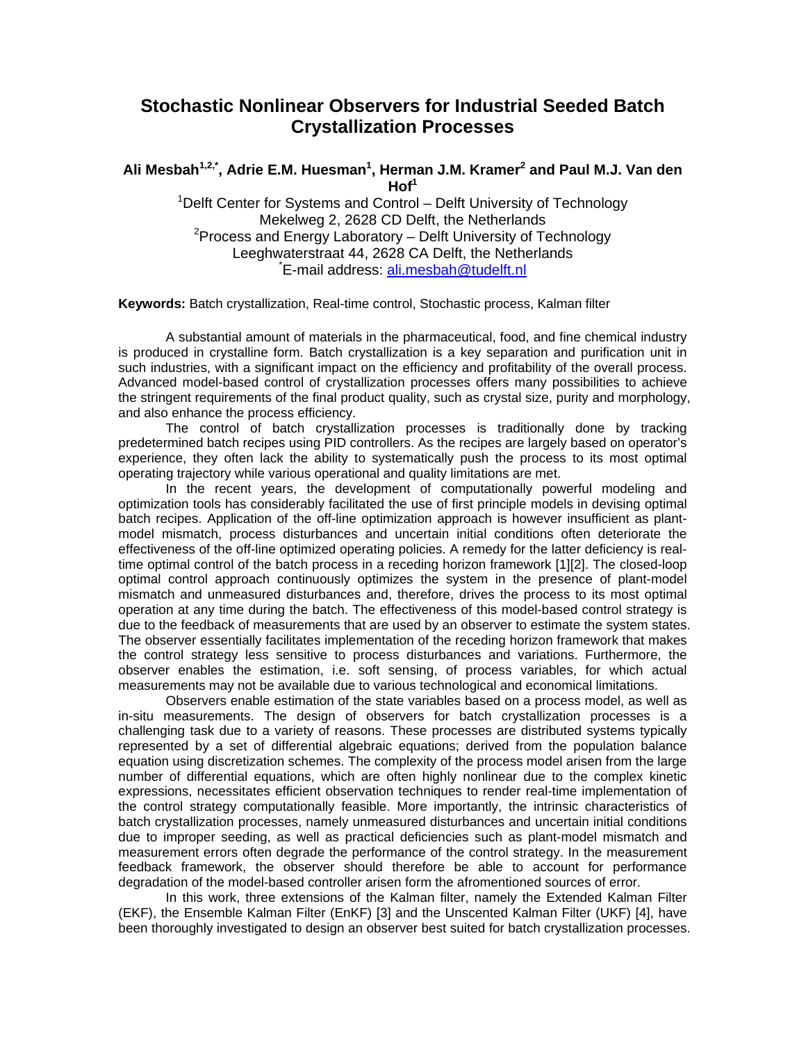## **Stochastic Nonlinear Observers for Industrial Seeded Batch Crystallization Processes**

## Ali Mesbah<sup>1,2,\*</sup>, Adrie E.M. Huesman<sup>1</sup>, Herman J.M. Kramer<sup>2</sup> and Paul M.J. Van den  $H$ of<sup>1</sup>

<sup>1</sup>Delft Center for Systems and Control – Delft University of Technology Mekelweg 2, 2628 CD Delft, the Netherlands <sup>2</sup> Process and Energy Laboratory  $-$  Delft University of Technology Leeghwaterstraat 44, 2628 CA Delft, the Netherlands \* <sup>\*</sup>E-mail address: [ali.mesbah@tudelft.nl](mailto:ali.mesbah@tudelft.nl)

**Keywords:** Batch crystallization, Real-time control, Stochastic process, Kalman filter

A substantial amount of materials in the pharmaceutical, food, and fine chemical industry is produced in crystalline form. Batch crystallization is a key separation and purification unit in such industries, with a significant impact on the efficiency and profitability of the overall process. Advanced model-based control of crystallization processes offers many possibilities to achieve the stringent requirements of the final product quality, such as crystal size, purity and morphology, and also enhance the process efficiency.

The control of batch crystallization processes is traditionally done by tracking predetermined batch recipes using PID controllers. As the recipes are largely based on operator's experience, they often lack the ability to systematically push the process to its most optimal operating trajectory while various operational and quality limitations are met.

In the recent years, the development of computationally powerful modeling and optimization tools has considerably facilitated the use of first principle models in devising optimal batch recipes. Application of the off-line optimization approach is however insufficient as plantmodel mismatch, process disturbances and uncertain initial conditions often deteriorate the effectiveness of the off-line optimized operating policies. A remedy for the latter deficiency is realtime optimal control of the batch process in a receding horizon framework [1][2]. The closed-loop optimal control approach continuously optimizes the system in the presence of plant-model mismatch and unmeasured disturbances and, therefore, drives the process to its most optimal operation at any time during the batch. The effectiveness of this model-based control strategy is due to the feedback of measurements that are used by an observer to estimate the system states. The observer essentially facilitates implementation of the receding horizon framework that makes the control strategy less sensitive to process disturbances and variations. Furthermore, the observer enables the estimation, i.e. soft sensing, of process variables, for which actual measurements may not be available due to various technological and economical limitations.

Observers enable estimation of the state variables based on a process model, as well as in-situ measurements. The design of observers for batch crystallization processes is a challenging task due to a variety of reasons. These processes are distributed systems typically represented by a set of differential algebraic equations; derived from the population balance equation using discretization schemes. The complexity of the process model arisen from the large number of differential equations, which are often highly nonlinear due to the complex kinetic expressions, necessitates efficient observation techniques to render real-time implementation of the control strategy computationally feasible. More importantly, the intrinsic characteristics of batch crystallization processes, namely unmeasured disturbances and uncertain initial conditions due to improper seeding, as well as practical deficiencies such as plant-model mismatch and measurement errors often degrade the performance of the control strategy. In the measurement feedback framework, the observer should therefore be able to account for performance degradation of the model-based controller arisen form the afromentioned sources of error.

In this work, three extensions of the Kalman filter, namely the Extended Kalman Filter (EKF), the Ensemble Kalman Filter (EnKF) [3] and the Unscented Kalman Filter (UKF) [4], have been thoroughly investigated to design an observer best suited for batch crystallization processes.